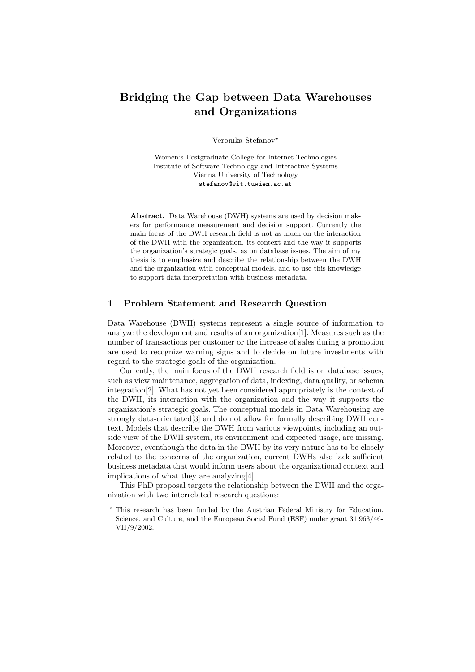# Bridging the Gap between Data Warehouses and Organizations

Veronika Stefanov<sup>\*</sup>

Women's Postgraduate College for Internet Technologies Institute of Software Technology and Interactive Systems Vienna University of Technology stefanov@wit.tuwien.ac.at

Abstract. Data Warehouse (DWH) systems are used by decision makers for performance measurement and decision support. Currently the main focus of the DWH research field is not as much on the interaction of the DWH with the organization, its context and the way it supports the organization's strategic goals, as on database issues. The aim of my thesis is to emphasize and describe the relationship between the DWH and the organization with conceptual models, and to use this knowledge to support data interpretation with business metadata.

## 1 Problem Statement and Research Question

Data Warehouse (DWH) systems represent a single source of information to analyze the development and results of an organization[1]. Measures such as the number of transactions per customer or the increase of sales during a promotion are used to recognize warning signs and to decide on future investments with regard to the strategic goals of the organization.

Currently, the main focus of the DWH research field is on database issues, such as view maintenance, aggregation of data, indexing, data quality, or schema integration[2]. What has not yet been considered appropriately is the context of the DWH, its interaction with the organization and the way it supports the organization's strategic goals. The conceptual models in Data Warehousing are strongly data-orientated[3] and do not allow for formally describing DWH context. Models that describe the DWH from various viewpoints, including an outside view of the DWH system, its environment and expected usage, are missing. Moreover, eventhough the data in the DWH by its very nature has to be closely related to the concerns of the organization, current DWHs also lack sufficient business metadata that would inform users about the organizational context and implications of what they are analyzing[4].

This PhD proposal targets the relationship between the DWH and the organization with two interrelated research questions:

This research has been funded by the Austrian Federal Ministry for Education, Science, and Culture, and the European Social Fund (ESF) under grant 31.963/46- VII/9/2002.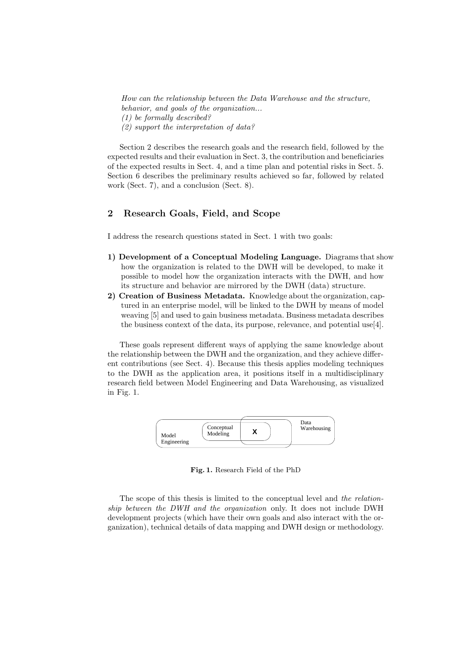How can the relationship between the Data Warehouse and the structure, behavior, and goals of the organization... (1) be formally described? (2) support the interpretation of data?

Section 2 describes the research goals and the research field, followed by the expected results and their evaluation in Sect. 3, the contribution and beneficiaries of the expected results in Sect. 4, and a time plan and potential risks in Sect. 5. Section 6 describes the preliminary results achieved so far, followed by related work (Sect. 7), and a conclusion (Sect. 8).

# 2 Research Goals, Field, and Scope

I address the research questions stated in Sect. 1 with two goals:

- 1) Development of a Conceptual Modeling Language. Diagrams that show how the organization is related to the DWH will be developed, to make it possible to model how the organization interacts with the DWH, and how its structure and behavior are mirrored by the DWH (data) structure.
- 2) Creation of Business Metadata. Knowledge about the organization, captured in an enterprise model, will be linked to the DWH by means of model weaving [5] and used to gain business metadata. Business metadata describes the business context of the data, its purpose, relevance, and potential use[4].

These goals represent different ways of applying the same knowledge about the relationship between the DWH and the organization, and they achieve different contributions (see Sect. 4). Because this thesis applies modeling techniques to the DWH as the application area, it positions itself in a multidisciplinary research field between Model Engineering and Data Warehousing, as visualized in Fig. 1.



Fig. 1. Research Field of the PhD

The scope of this thesis is limited to the conceptual level and the relationship between the DWH and the organization only. It does not include DWH development projects (which have their own goals and also interact with the organization), technical details of data mapping and DWH design or methodology.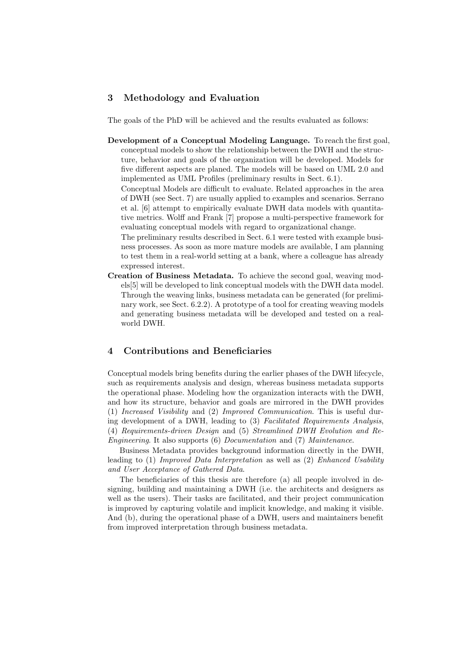## 3 Methodology and Evaluation

The goals of the PhD will be achieved and the results evaluated as follows:

Development of a Conceptual Modeling Language. To reach the first goal, conceptual models to show the relationship between the DWH and the structure, behavior and goals of the organization will be developed. Models for five different aspects are planed. The models will be based on UML 2.0 and implemented as UML Profiles (preliminary results in Sect. 6.1).

Conceptual Models are difficult to evaluate. Related approaches in the area of DWH (see Sect. 7) are usually applied to examples and scenarios. Serrano et al. [6] attempt to empirically evaluate DWH data models with quantitative metrics. Wolff and Frank [7] propose a multi-perspective framework for evaluating conceptual models with regard to organizational change.

The preliminary results described in Sect. 6.1 were tested with example business processes. As soon as more mature models are available, I am planning to test them in a real-world setting at a bank, where a colleague has already expressed interest.

Creation of Business Metadata. To achieve the second goal, weaving models[5] will be developed to link conceptual models with the DWH data model. Through the weaving links, business metadata can be generated (for preliminary work, see Sect. 6.2.2). A prototype of a tool for creating weaving models and generating business metadata will be developed and tested on a realworld DWH.

# 4 Contributions and Beneficiaries

Conceptual models bring benefits during the earlier phases of the DWH lifecycle, such as requirements analysis and design, whereas business metadata supports the operational phase. Modeling how the organization interacts with the DWH, and how its structure, behavior and goals are mirrored in the DWH provides (1) Increased Visibility and (2) Improved Communication. This is useful during development of a DWH, leading to (3) Facilitated Requirements Analysis, (4) Requirements-driven Design and (5) Streamlined DWH Evolution and Re-Engineering. It also supports (6) Documentation and (7) Maintenance.

Business Metadata provides background information directly in the DWH, leading to (1) Improved Data Interpretation as well as (2) Enhanced Usability and User Acceptance of Gathered Data.

The beneficiaries of this thesis are therefore (a) all people involved in designing, building and maintaining a DWH (i.e. the architects and designers as well as the users). Their tasks are facilitated, and their project communication is improved by capturing volatile and implicit knowledge, and making it visible. And (b), during the operational phase of a DWH, users and maintainers benefit from improved interpretation through business metadata.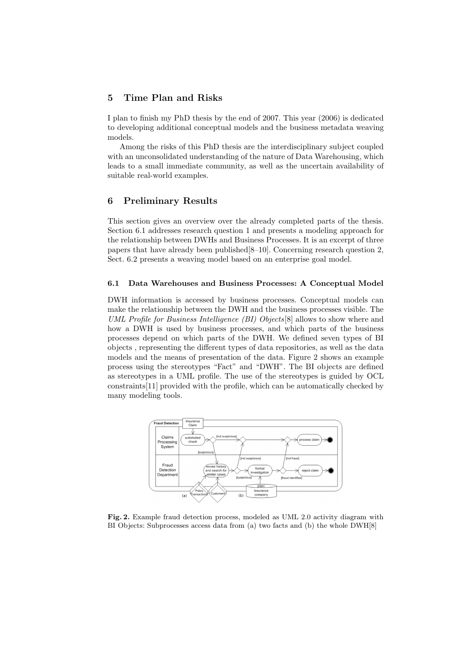# 5 Time Plan and Risks

I plan to finish my PhD thesis by the end of 2007. This year (2006) is dedicated to developing additional conceptual models and the business metadata weaving models.

Among the risks of this PhD thesis are the interdisciplinary subject coupled with an unconsolidated understanding of the nature of Data Warehousing, which leads to a small immediate community, as well as the uncertain availability of suitable real-world examples.

#### 6 Preliminary Results

This section gives an overview over the already completed parts of the thesis. Section 6.1 addresses research question 1 and presents a modeling approach for the relationship between DWHs and Business Processes. It is an excerpt of three papers that have already been published[8–10]. Concerning research question 2, Sect. 6.2 presents a weaving model based on an enterprise goal model.

#### 6.1 Data Warehouses and Business Processes: A Conceptual Model

DWH information is accessed by business processes. Conceptual models can make the relationship between the DWH and the business processes visible. The UML Profile for Business Intelligence (BI) Objects[8] allows to show where and how a DWH is used by business processes, and which parts of the business processes depend on which parts of the DWH. We defined seven types of BI objects , representing the different types of data repositories, as well as the data models and the means of presentation of the data. Figure 2 shows an example process using the stereotypes "Fact" and "DWH". The BI objects are defined as stereotypes in a UML profile. The use of the stereotypes is guided by OCL constraints[11] provided with the profile, which can be automatically checked by many modeling tools.



Fig. 2. Example fraud detection process, modeled as UML 2.0 activity diagram with BI Objects: Subprocesses access data from (a) two facts and (b) the whole DWH[8]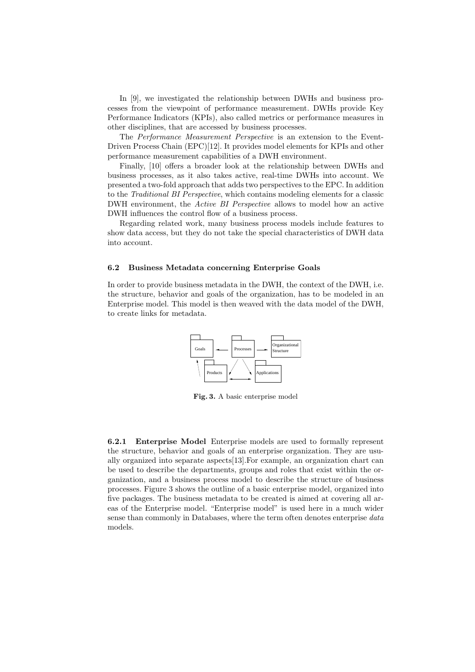In [9], we investigated the relationship between DWHs and business processes from the viewpoint of performance measurement. DWHs provide Key Performance Indicators (KPIs), also called metrics or performance measures in other disciplines, that are accessed by business processes.

The Performance Measurement Perspective is an extension to the Event-Driven Process Chain (EPC)[12]. It provides model elements for KPIs and other performance measurement capabilities of a DWH environment.

Finally, [10] offers a broader look at the relationship between DWHs and business processes, as it also takes active, real-time DWHs into account. We presented a two-fold approach that adds two perspectives to the EPC. In addition to the Traditional BI Perspective, which contains modeling elements for a classic DWH environment, the Active BI Perspective allows to model how an active DWH influences the control flow of a business process.

Regarding related work, many business process models include features to show data access, but they do not take the special characteristics of DWH data into account.

#### 6.2 Business Metadata concerning Enterprise Goals

In order to provide business metadata in the DWH, the context of the DWH, i.e. the structure, behavior and goals of the organization, has to be modeled in an Enterprise model. This model is then weaved with the data model of the DWH, to create links for metadata.



Fig. 3. A basic enterprise model

6.2.1 Enterprise Model Enterprise models are used to formally represent the structure, behavior and goals of an enterprise organization. They are usually organized into separate aspects[13].For example, an organization chart can be used to describe the departments, groups and roles that exist within the organization, and a business process model to describe the structure of business processes. Figure 3 shows the outline of a basic enterprise model, organized into five packages. The business metadata to be created is aimed at covering all areas of the Enterprise model. "Enterprise model" is used here in a much wider sense than commonly in Databases, where the term often denotes enterprise data models.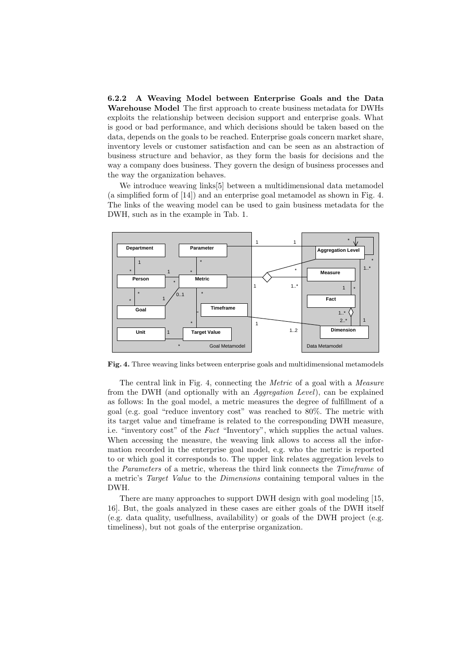6.2.2 A Weaving Model between Enterprise Goals and the Data Warehouse Model The first approach to create business metadata for DWHs exploits the relationship between decision support and enterprise goals. What is good or bad performance, and which decisions should be taken based on the data, depends on the goals to be reached. Enterprise goals concern market share, inventory levels or customer satisfaction and can be seen as an abstraction of business structure and behavior, as they form the basis for decisions and the way a company does business. They govern the design of business processes and the way the organization behaves.

We introduce weaving links[5] between a multidimensional data metamodel (a simplified form of [14]) and an enterprise goal metamodel as shown in Fig. 4. The links of the weaving model can be used to gain business metadata for the DWH, such as in the example in Tab. 1.



Fig. 4. Three weaving links between enterprise goals and multidimensional metamodels

The central link in Fig. 4, connecting the Metric of a goal with a Measure from the DWH (and optionally with an Aggregation Level), can be explained as follows: In the goal model, a metric measures the degree of fulfillment of a goal (e.g. goal "reduce inventory cost" was reached to 80%. The metric with its target value and timeframe is related to the corresponding DWH measure, i.e. "inventory cost" of the Fact "Inventory", which supplies the actual values. When accessing the measure, the weaving link allows to access all the information recorded in the enterprise goal model, e.g. who the metric is reported to or which goal it corresponds to. The upper link relates aggregation levels to the Parameters of a metric, whereas the third link connects the Timeframe of a metric's Target Value to the Dimensions containing temporal values in the DWH.

There are many approaches to support DWH design with goal modeling [15, 16]. But, the goals analyzed in these cases are either goals of the DWH itself (e.g. data quality, usefullness, availability) or goals of the DWH project (e.g. timeliness), but not goals of the enterprise organization.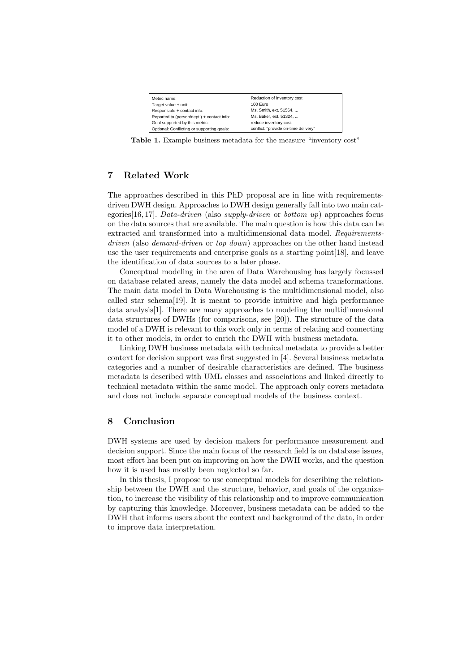| Metric name:                               | Reduction of inventory cost          |
|--------------------------------------------|--------------------------------------|
| Target value + unit:                       | 100 Euro                             |
| Responsible + contact info:                | Ms. Smith, ext. 51564,               |
| Reported to (person/dept.) + contact info: | Ms. Baker, ext. 51324,               |
| Goal supported by this metric:             | reduce inventory cost                |
| Optional: Conflicting or supporting goals: | conflict: "provide on-time delivery" |

Table 1. Example business metadata for the measure "inventory cost"

# 7 Related Work

The approaches described in this PhD proposal are in line with requirementsdriven DWH design. Approaches to DWH design generally fall into two main categories [16, 17]. Data-driven (also supply-driven or bottom up) approaches focus on the data sources that are available. The main question is how this data can be extracted and transformed into a multidimensional data model. Requirementsdriven (also demand-driven or top down) approaches on the other hand instead use the user requirements and enterprise goals as a starting point[18], and leave the identification of data sources to a later phase.

Conceptual modeling in the area of Data Warehousing has largely focussed on database related areas, namely the data model and schema transformations. The main data model in Data Warehousing is the multidimensional model, also called star schema[19]. It is meant to provide intuitive and high performance data analysis[1]. There are many approaches to modeling the multidimensional data structures of DWHs (for comparisons, see [20]). The structure of the data model of a DWH is relevant to this work only in terms of relating and connecting it to other models, in order to enrich the DWH with business metadata.

Linking DWH business metadata with technical metadata to provide a better context for decision support was first suggested in [4]. Several business metadata categories and a number of desirable characteristics are defined. The business metadata is described with UML classes and associations and linked directly to technical metadata within the same model. The approach only covers metadata and does not include separate conceptual models of the business context.

## 8 Conclusion

DWH systems are used by decision makers for performance measurement and decision support. Since the main focus of the research field is on database issues, most effort has been put on improving on how the DWH works, and the question how it is used has mostly been neglected so far.

In this thesis, I propose to use conceptual models for describing the relationship between the DWH and the structure, behavior, and goals of the organization, to increase the visibility of this relationship and to improve communication by capturing this knowledge. Moreover, business metadata can be added to the DWH that informs users about the context and background of the data, in order to improve data interpretation.